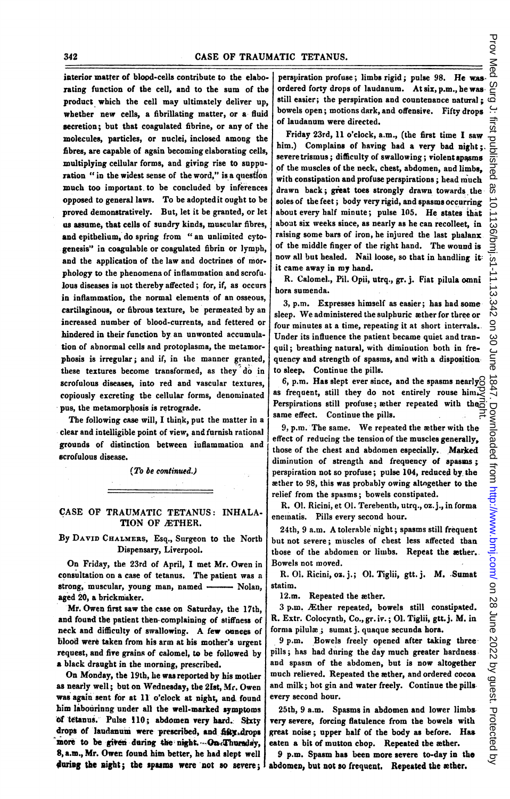interior matter of blood-cells contribute to the elaborating function of the cell, and to the sum of the product which the cell may ultimately deliver up, whether new cells, a fibrillating matter, or a fluid secretion; but that coagulated fibrine, or any of the molecules, particles, or nuclei, inclosed among the fibres, are capable of again becoming elaborating cells, multiplying cellular forms, and giving rise to suppuration " in the widest sense of the word," is a question much too important. to be concluded by inferences opposed to general laws. To be adoptedit ought to be proved demonstratively. But, let it be granted, or let us assume, that cells of sundry kinds, muscular fibres, and epithelium, do spring from " an unlimited cytogenesis" in coagulable or coagulated fibrin or lymph, and the application of the law and doctrines of morphology to the phenomena of inflammation and scrofulous diseases is uot thereby affected; for, if, as occurs in inflammation, the normal elements of an osseous, cartilaginous, or fibrous texture, be permeated by an increased number of blood-currents, and fettered or hindered in their function by an unwonted accumulation of abnormal cells and protoplasma, the metamorphosis is irregular; and if, in the manner granted, these textures become transformed, as they do in scrofulous diseases, into red and vascular textures, copiously excreting the cellular forms, denominated pus, the metamorpbosis is retrograde.

The following case will, I think, put the matter in a clear and intelligible point of view, and furnish rational grounds of distinction between iuflammation and scrofulous disease.

(To be continued.)

## CASE OF TRAUMATIC TETANUS: INHALA-TION OF ÆTHER.

By DAVID CHALMERS, Esq., Surgeon to the North Dispensary, Liverpool.

On Friday, the 23rd of April, <sup>I</sup> met Mr. Owen in consultation on a case of tetanus. The patient was a strong, muscular, young man, named - Nolan, aged 20, a brickmaker.

Mr. Owen first saw the case on Saturday, the 17th, and found the patient then-complaining of stiffness of neck and difficulty of swallowing. A few ounces of blood were taken from his arm at bis mother's urgent request, and fire grains of calomel, to be followed by a black draught in the morning, prescribed.

On Monday, the 19th, he was reported by his mother as nearly well; but on Wednesday, the 21st, Mr. Owen was again sent for at 11 o'clock at night, and. found him labourinng under all the well-marked symptoms of tetanus. Pulse 110; abdomen very hard. Sixty drops of laudanum were prescribed, and fitty drops more to be given daring the night. On Thursday, 8, a.m., Mr. Owen found him better, he had slept well during the night; the spasms were not so severe;

perspiration profuse; limbs rigid; pulse 98. He wasordered forty drops of laudanum. At six, p.m., be was still easier; the perspiration and countenance natural;  $\vec{\omega}$ bowels open; motions dark, and offensive. Fifty drops of laudanum were directed.

Friday 23rd, 11 o'clock, a.m., (the first time <sup>I</sup> saw him.) Complains of having had a very bad night;. severe trismus; difficulty of swallowing; violent spasms of the muscles of the neck, chest, abdomen, and limbs, with constipation and profuse perspirations; head much drawn back; great toes strongly drawn towards the soles of the feet; body very rigid, and spasms occurring about every half minute; pulse 105. He states that about six weeks since, as nearly as he can recolleet, in raising some bars of iron, he injured the last phalanx of the middle finger of the right hand. The wound is now all but healed. Nail loose, so that in handling it: it came away in my hand.

R. Calomel., Pil. Opii, utrq., gr. j. Fiat pilula omni hora sumenda.

3, p.m. Expresses himself as easier; has had somesleep. We administered the sulphuric æther for three or four minutes at a time, repeating it at short interrals.. Under its influence the patient became quiet and tranquil; breathing natural, with diminution both in frequency and strength of spasms, and with a disposition. to sleep. Continue the pills.

6, p.m. Has slept ever since, and the spasms nearly as frequent, still they do not entirely rouse him. Perspirations still profuse; æther repeated with the same effect. Continue the pills. copyright.

9, p.m. The same. We repeated the ether with the effect of reducing the tension of the muscles generally, those of the chest and abdomen especially. Marked diminution of strength and frequency of spasms: perspiration not so profuse; pulse 104, reduced by the ether to 98, this was probably owing altogether to the relief from the spasms; bowels constipated.

R. 01. Ricini, et 01. Terebentb, utrq., oz.j., in forma enematis. Pills every second hour.

24tb, <sup>9</sup> a.m. A tolerable night; spasms still frequent but not severe; muscles of chest less affected than those of the abdomen or limbs. Repeat the ather. Bowels not moved.

R. 01. Ricini, oz. j.; 01. Tiglii, gtt. j. M. Sumat statim.

12.m. Repeated the æther.

3 p.m. AEther repeated, bowels still constipated. R. Extr. Colocyntb, Co., gr. iv.; 01. Tiglii, gtt.j. M. in forma pilulae; sumat j. quaque secunda hors.

9 p.m. Bowels freely opened after taking three pills; has had during the day much greater hardness and spasm of the abdomen, but is now altogether much relieved. Repeated the æther, and ordered cocoa and milk; hot gin and water freely. Continue the pillsevery second hour.

25th, 9 a.m. Spasms in abdomen and lower limbs, very severe, forcing flatulence from the bowels with great noise; upper half of the body as before. Has eaten a bit of mutton chop. Repeated the asther.

9 p.m. Spasm has been more severe to-day in the abdomen, but not so frequent. Repeated the æther.